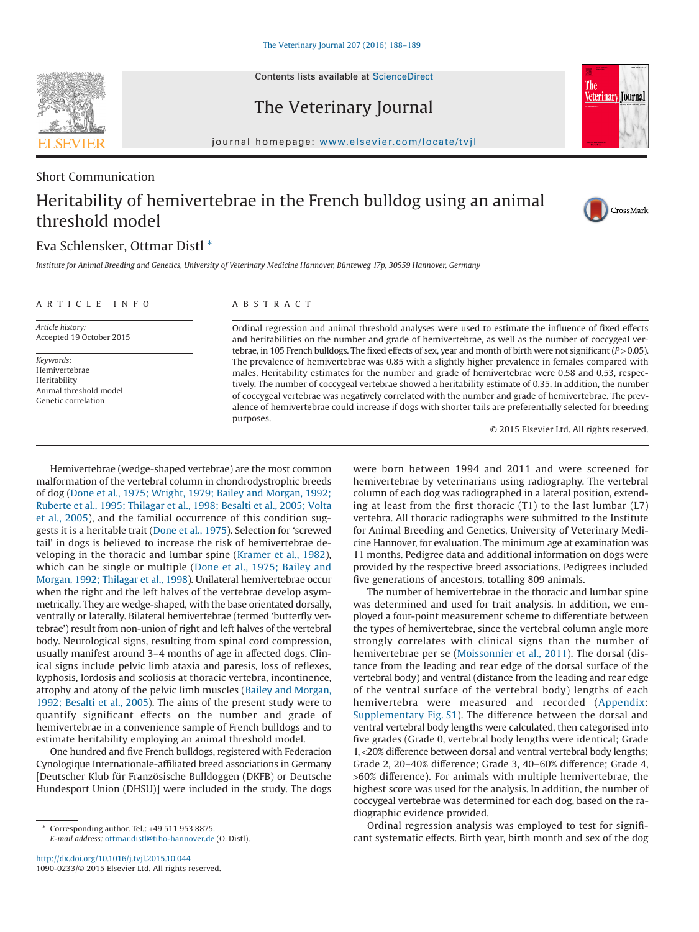Contents lists available at [ScienceDirect](http://www.sciencedirect.com/science/journal/10900233)

# The Veterinary Journal

journal homepage: [www.elsevier.com/locate/tvjl](http://www.elsevier.com/locate/tvjl)

# Short Communication Heritability of hemivertebrae in the French bulldog using an animal threshold model

## Eva Schlensker, Ottmar Distl [\\*](#page-0-0)

*Institute for Animal Breeding and Genetics, University of Veterinary Medicine Hannover, Bünteweg 17p, 30559 Hannover, Germany*

### ARTICLE INFO *Article history:* Accepted 19 October 2015 *Keywords:* Hemivertebrae Heritability Animal threshold model Genetic correlation ABSTRACT Ordinal regression and animal threshold analyses were used to estimate the influence of fixed effects and heritabilities on the number and grade of hemivertebrae, as well as the number of coccygeal vertebrae, in 105 French bulldogs. The fixed effects of sex, year and month of birth were not significant (*P* > 0.05). The prevalence of hemivertebrae was 0.85 with a slightly higher prevalence in females compared with males. Heritability estimates for the number and grade of hemivertebrae were 0.58 and 0.53, respectively. The number of coccygeal vertebrae showed a heritability estimate of 0.35. In addition, the number of coccygeal vertebrae was negatively correlated with the number and grade of hemivertebrae. The prevalence of hemivertebrae could increase if dogs with shorter tails are preferentially selected for breeding purposes.

© 2015 Elsevier Ltd. All rights reserved.

were born between 1994 and 2011 and were screened for hemivertebrae by veterinarians using radiography. The vertebral column of each dog was radiographed in a lateral position, extending at least from the first thoracic (T1) to the last lumbar (L7) vertebra. All thoracic radiographs were submitted to the Institute for Animal Breeding and Genetics, University of Veterinary Medicine Hannover, for evaluation. The minimum age at examination was 11 months. Pedigree data and additional information on dogs were provided by the respective breed associations. Pedigrees included

The number of hemivertebrae in the thoracic and lumbar spine was determined and used for trait analysis. In addition, we employed a four-point measurement scheme to differentiate between the types of hemivertebrae, since the vertebral column angle more strongly correlates with clinical signs than the number of hemivertebrae per se [\(Moissonnier et al., 2011\)](#page-1-3). The dorsal (distance from the leading and rear edge of the dorsal surface of the vertebral body) and ventral (distance from the leading and rear edge of the ventral surface of the vertebral body) lengths of each hemivertebra were measured and recorded (Appendix: Supplementary Fig. S1). The difference between the dorsal and ventral vertebral body lengths were calculated, then categorised into five grades (Grade 0, vertebral body lengths were identical; Grade 1, <20% difference between dorsal and ventral vertebral body lengths; Grade 2, 20–40% difference; Grade 3, 40–60% difference; Grade 4, >60% difference). For animals with multiple hemivertebrae, the highest score was used for the analysis. In addition, the number of coccygeal vertebrae was determined for each dog, based on the ra-

five generations of ancestors, totalling 809 animals.

Hemivertebrae (wedge-shaped vertebrae) are the most common malformation of the vertebral column in chondrodystrophic breeds of dog [\(Done et al., 1975; Wright, 1979; Bailey and Morgan, 1992;](#page-1-0) [Ruberte et al., 1995; Thilagar et al., 1998; Besalti et al., 2005; Volta](#page-1-0) [et al., 2005\)](#page-1-0), and the familial occurrence of this condition suggests it is a heritable trait [\(Done et al., 1975\)](#page-1-0). Selection for 'screwed tail' in dogs is believed to increase the risk of hemivertebrae developing in the thoracic and lumbar spine [\(Kramer et al., 1982\)](#page-1-1), which can be single or multiple [\(Done et al., 1975; Bailey and](#page-1-0) [Morgan, 1992; Thilagar et al., 1998\)](#page-1-0). Unilateral hemivertebrae occur when the right and the left halves of the vertebrae develop asymmetrically. They are wedge-shaped, with the base orientated dorsally, ventrally or laterally. Bilateral hemivertebrae (termed 'butterfly vertebrae') result from non-union of right and left halves of the vertebral body. Neurological signs, resulting from spinal cord compression, usually manifest around 3–4 months of age in affected dogs. Clinical signs include pelvic limb ataxia and paresis, loss of reflexes, kyphosis, lordosis and scoliosis at thoracic vertebra, incontinence, atrophy and atony of the pelvic limb muscles [\(Bailey and Morgan,](#page-1-2) [1992; Besalti et al., 2005\)](#page-1-2). The aims of the present study were to quantify significant effects on the number and grade of hemivertebrae in a convenience sample of French bulldogs and to estimate heritability employing an animal threshold model.

One hundred and five French bulldogs, registered with Federacion Cynologique Internationale-affiliated breed associations in Germany [Deutscher Klub für Französische Bulldoggen (DKFB) or Deutsche Hundesport Union (DHSU)] were included in the study. The dogs

Ordinal regression analysis was employed to test for significant systematic effects. Birth year, birth month and sex of the dog

diographic evidence provided.







**Veterinary Journal** 

The

<span id="page-0-0"></span>Corresponding author. Tel.: +49 511 953 8875. *E-mail address:* [ottmar.distl@tiho-hannover.de](mailto:ottmar.distl@tiho-hannover.de) (O. Distl).